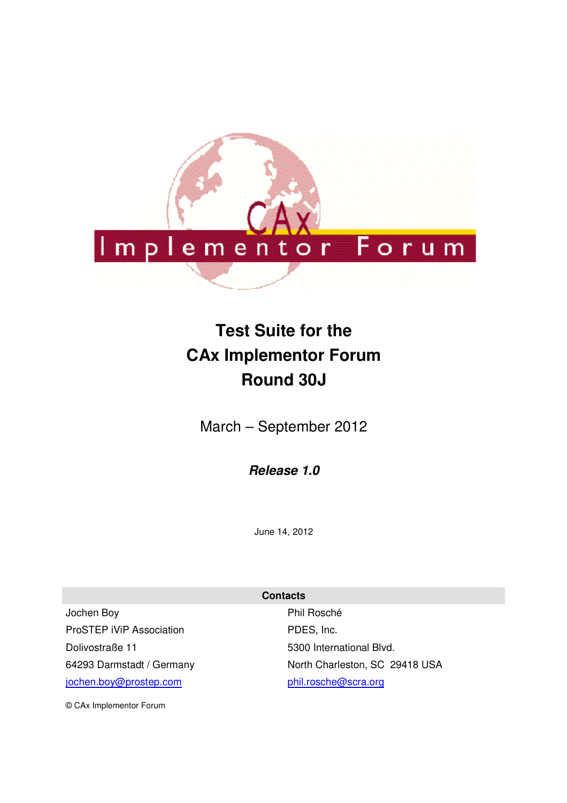

# **Test Suite for the CAx Implementor Forum Round 30J**

March – September 2012

*Release 1.0* 

June 14, 2012

**Contacts** 

Jochen Boy ProSTEP iViP Association Dolivostraße 11 64293 Darmstadt / Germany jochen.boy@prostep.com

Phil Rosché PDES, Inc. 5300 International Blvd. North Charleston, SC 29418 USA phil.rosche@scra.org

© CAx Implementor Forum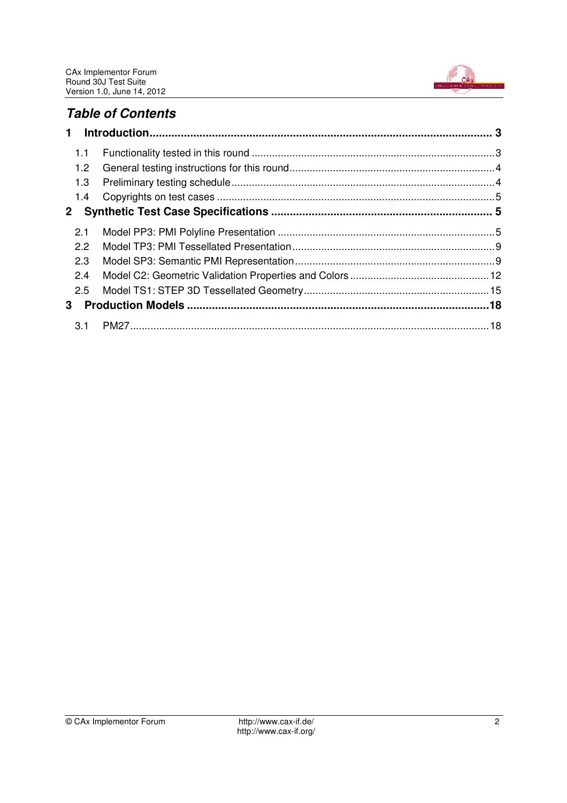

# *Table of Contents*

| $\mathbf 1$      |  |
|------------------|--|
| 1.1              |  |
| 1.2 <sub>1</sub> |  |
| 1.3              |  |
| 1.4              |  |
| $\mathbf{2}$     |  |
| 2.1              |  |
| 2.2              |  |
| 2.3              |  |
| 2.4              |  |
| 2.5              |  |
| 3                |  |
| 3.1              |  |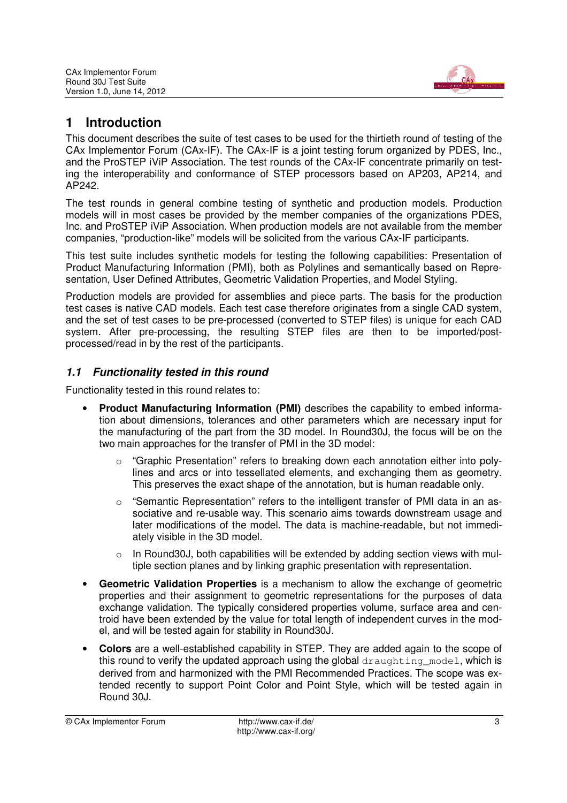

# **1 Introduction**

This document describes the suite of test cases to be used for the thirtieth round of testing of the CAx Implementor Forum (CAx-IF). The CAx-IF is a joint testing forum organized by PDES, Inc., and the ProSTEP iViP Association. The test rounds of the CAx-IF concentrate primarily on testing the interoperability and conformance of STEP processors based on AP203, AP214, and AP242.

The test rounds in general combine testing of synthetic and production models. Production models will in most cases be provided by the member companies of the organizations PDES, Inc. and ProSTEP iViP Association. When production models are not available from the member companies, "production-like" models will be solicited from the various CAx-IF participants.

This test suite includes synthetic models for testing the following capabilities: Presentation of Product Manufacturing Information (PMI), both as Polylines and semantically based on Representation, User Defined Attributes, Geometric Validation Properties, and Model Styling.

Production models are provided for assemblies and piece parts. The basis for the production test cases is native CAD models. Each test case therefore originates from a single CAD system, and the set of test cases to be pre-processed (converted to STEP files) is unique for each CAD system. After pre-processing, the resulting STEP files are then to be imported/postprocessed/read in by the rest of the participants.

## *1.1 Functionality tested in this round*

Functionality tested in this round relates to:

- **Product Manufacturing Information (PMI)** describes the capability to embed information about dimensions, tolerances and other parameters which are necessary input for the manufacturing of the part from the 3D model. In Round30J, the focus will be on the two main approaches for the transfer of PMI in the 3D model:
	- o "Graphic Presentation" refers to breaking down each annotation either into polylines and arcs or into tessellated elements, and exchanging them as geometry. This preserves the exact shape of the annotation, but is human readable only.
	- $\circ$  "Semantic Representation" refers to the intelligent transfer of PMI data in an associative and re-usable way. This scenario aims towards downstream usage and later modifications of the model. The data is machine-readable, but not immediately visible in the 3D model.
	- $\circ$  In Round30J, both capabilities will be extended by adding section views with multiple section planes and by linking graphic presentation with representation.
- **Geometric Validation Properties** is a mechanism to allow the exchange of geometric properties and their assignment to geometric representations for the purposes of data exchange validation. The typically considered properties volume, surface area and centroid have been extended by the value for total length of independent curves in the model, and will be tested again for stability in Round30J.
- **Colors** are a well-established capability in STEP. They are added again to the scope of this round to verify the updated approach using the global draughting model, which is derived from and harmonized with the PMI Recommended Practices. The scope was extended recently to support Point Color and Point Style, which will be tested again in Round 30J.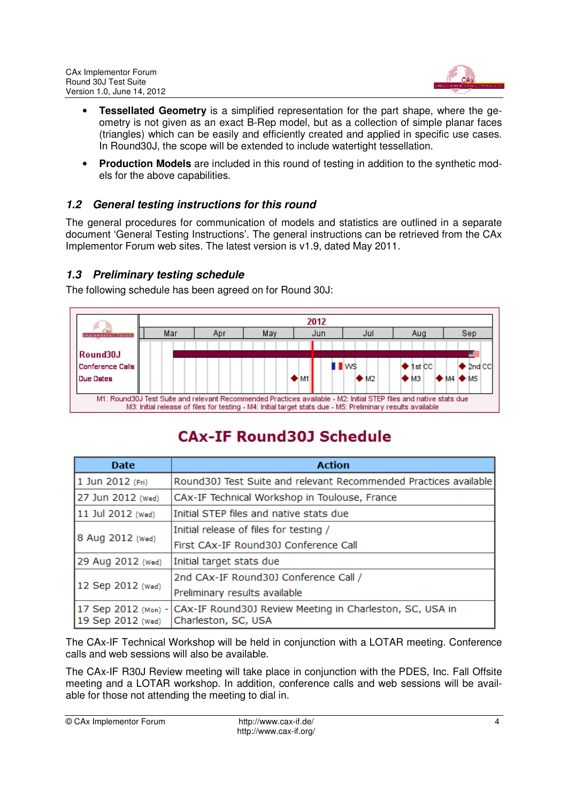

- **Tessellated Geometry** is a simplified representation for the part shape, where the geometry is not given as an exact B-Rep model, but as a collection of simple planar faces (triangles) which can be easily and efficiently created and applied in specific use cases. In Round30J, the scope will be extended to include watertight tessellation.
- **Production Models** are included in this round of testing in addition to the synthetic models for the above capabilities.

## *1.2 General testing instructions for this round*

The general procedures for communication of models and statistics are outlined in a separate document 'General Testing Instructions'. The general instructions can be retrieved from the CAx Implementor Forum web sites. The latest version is v1.9, dated May 2011.

## *1.3 Preliminary testing schedule*

The following schedule has been agreed on for Round 30J:



# **CAX-IF Round30J Schedule**

| <b>Date</b>                              | <b>Action</b>                                                                   |
|------------------------------------------|---------------------------------------------------------------------------------|
| 1 Jun 2012 (Fri)                         | Round30J Test Suite and relevant Recommended Practices available                |
| 27 Jun 2012 (Wed)                        | CAx-IF Technical Workshop in Toulouse, France                                   |
| 11 Jul 2012 (Wed)                        | Initial STEP files and native stats due                                         |
|                                          | Initial release of files for testing /                                          |
| 8 Aug 2012 (Wed)                         | First CAx-IF Round30J Conference Call                                           |
| 29 Aug 2012 (Wed)                        | Initial target stats due                                                        |
|                                          | 2nd CAx-IF Round30J Conference Call /                                           |
| 12 Sep 2012 (Wed)                        | Preliminary results available                                                   |
| 17 Sep 2012 (Mon) -<br>19 Sep 2012 (Wed) | CAx-IF Round30J Review Meeting in Charleston, SC, USA in<br>Charleston, SC, USA |

The CAx-IF Technical Workshop will be held in conjunction with a LOTAR meeting. Conference calls and web sessions will also be available.

The CAx-IF R30J Review meeting will take place in conjunction with the PDES, Inc. Fall Offsite meeting and a LOTAR workshop. In addition, conference calls and web sessions will be available for those not attending the meeting to dial in.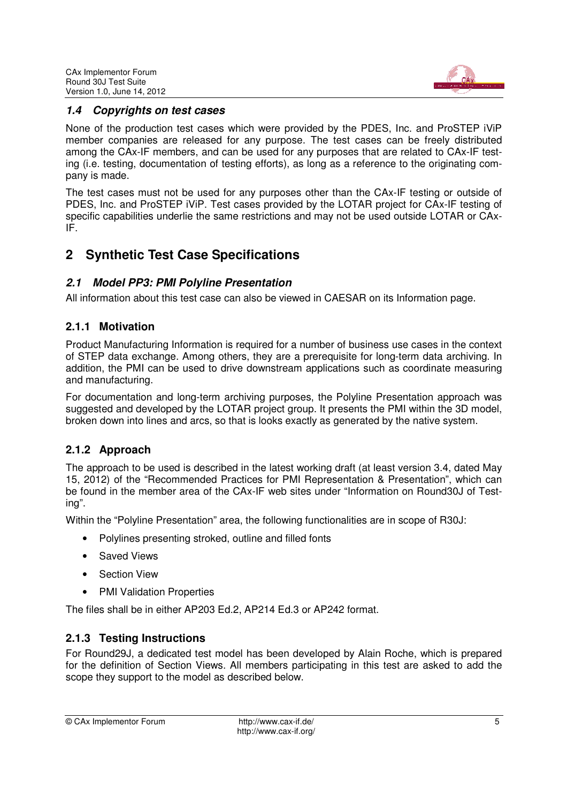

## *1.4 Copyrights on test cases*

None of the production test cases which were provided by the PDES, Inc. and ProSTEP iViP member companies are released for any purpose. The test cases can be freely distributed among the CAx-IF members, and can be used for any purposes that are related to CAx-IF testing (i.e. testing, documentation of testing efforts), as long as a reference to the originating company is made.

The test cases must not be used for any purposes other than the CAx-IF testing or outside of PDES, Inc. and ProSTEP iViP. Test cases provided by the LOTAR project for CAx-IF testing of specific capabilities underlie the same restrictions and may not be used outside LOTAR or CAx-IF.

## **2 Synthetic Test Case Specifications**

## *2.1 Model PP3: PMI Polyline Presentation*

All information about this test case can also be viewed in CAESAR on its Information page.

## **2.1.1 Motivation**

Product Manufacturing Information is required for a number of business use cases in the context of STEP data exchange. Among others, they are a prerequisite for long-term data archiving. In addition, the PMI can be used to drive downstream applications such as coordinate measuring and manufacturing.

For documentation and long-term archiving purposes, the Polyline Presentation approach was suggested and developed by the LOTAR project group. It presents the PMI within the 3D model, broken down into lines and arcs, so that is looks exactly as generated by the native system.

## **2.1.2 Approach**

The approach to be used is described in the latest working draft (at least version 3.4, dated May 15, 2012) of the "Recommended Practices for PMI Representation & Presentation", which can be found in the member area of the CAx-IF web sites under "Information on Round30J of Testing".

Within the "Polyline Presentation" area, the following functionalities are in scope of R30J:

- Polylines presenting stroked, outline and filled fonts
- Saved Views
- Section View
- PMI Validation Properties

The files shall be in either AP203 Ed.2, AP214 Ed.3 or AP242 format.

#### **2.1.3 Testing Instructions**

For Round29J, a dedicated test model has been developed by Alain Roche, which is prepared for the definition of Section Views. All members participating in this test are asked to add the scope they support to the model as described below.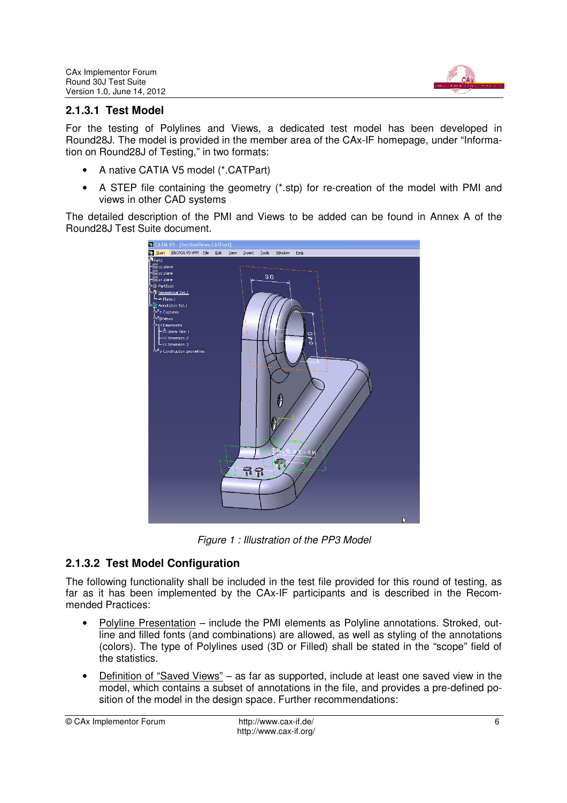

## **2.1.3.1 Test Model**

For the testing of Polylines and Views, a dedicated test model has been developed in Round28J. The model is provided in the member area of the CAx-IF homepage, under "Information on Round28J of Testing," in two formats:

- A native CATIA V5 model (\*.CATPart)
- A STEP file containing the geometry (\*.stp) for re-creation of the model with PMI and views in other CAD systems

The detailed description of the PMI and Views to be added can be found in Annex A of the Round28J Test Suite document.



Figure 1 : Illustration of the PP3 Model

## **2.1.3.2 Test Model Configuration**

The following functionality shall be included in the test file provided for this round of testing, as far as it has been implemented by the CAx-IF participants and is described in the Recommended Practices:

- Polyline Presentation include the PMI elements as Polyline annotations. Stroked, outline and filled fonts (and combinations) are allowed, as well as styling of the annotations (colors). The type of Polylines used (3D or Filled) shall be stated in the "scope" field of the statistics.
- Definition of "Saved Views" as far as supported, include at least one saved view in the model, which contains a subset of annotations in the file, and provides a pre-defined position of the model in the design space. Further recommendations: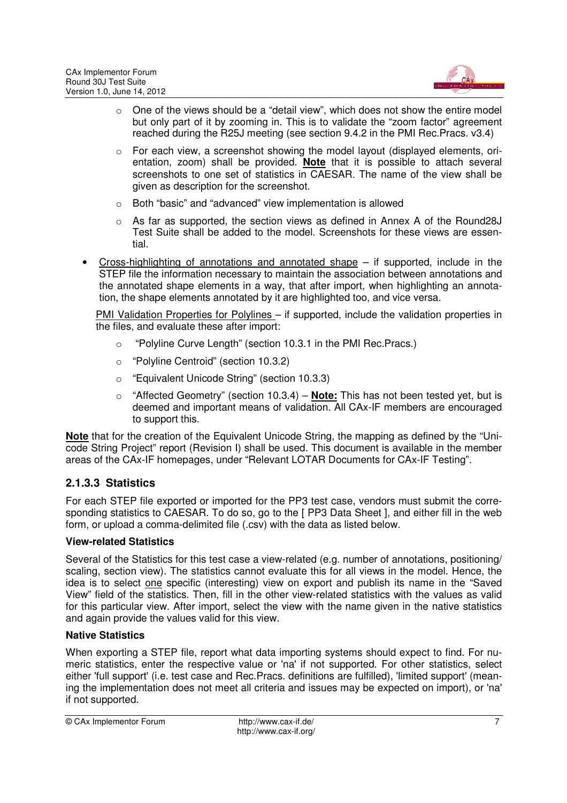

- $\circ$  One of the views should be a "detail view", which does not show the entire model but only part of it by zooming in. This is to validate the "zoom factor" agreement reached during the R25J meeting (see section 9.4.2 in the PMI Rec.Pracs. v3.4)
- o For each view, a screenshot showing the model layout (displayed elements, orientation, zoom) shall be provided. **Note** that it is possible to attach several screenshots to one set of statistics in CAESAR. The name of the view shall be given as description for the screenshot.
- o Both "basic" and "advanced" view implementation is allowed
- $\circ$  As far as supported, the section views as defined in Annex A of the Round28J Test Suite shall be added to the model. Screenshots for these views are essential.
- Cross-highlighting of annotations and annotated shape  $-$  if supported, include in the STEP file the information necessary to maintain the association between annotations and the annotated shape elements in a way, that after import, when highlighting an annotation, the shape elements annotated by it are highlighted too, and vice versa.

PMI Validation Properties for Polylines – if supported, include the validation properties in the files, and evaluate these after import:

- o "Polyline Curve Length" (section 10.3.1 in the PMI Rec.Pracs.)
- o "Polyline Centroid" (section 10.3.2)
- o "Equivalent Unicode String" (section 10.3.3)
- o "Affected Geometry" (section 10.3.4) **Note:** This has not been tested yet, but is deemed and important means of validation. All CAx-IF members are encouraged to support this.

**Note** that for the creation of the Equivalent Unicode String, the mapping as defined by the "Unicode String Project" report (Revision I) shall be used. This document is available in the member areas of the CAx-IF homepages, under "Relevant LOTAR Documents for CAx-IF Testing".

## **2.1.3.3 Statistics**

For each STEP file exported or imported for the PP3 test case, vendors must submit the corresponding statistics to CAESAR. To do so, go to the [ PP3 Data Sheet ], and either fill in the web form, or upload a comma-delimited file (.csv) with the data as listed below.

#### **View-related Statistics**

Several of the Statistics for this test case a view-related (e.g. number of annotations, positioning/ scaling, section view). The statistics cannot evaluate this for all views in the model. Hence, the idea is to select one specific (interesting) view on export and publish its name in the "Saved View" field of the statistics. Then, fill in the other view-related statistics with the values as valid for this particular view. After import, select the view with the name given in the native statistics and again provide the values valid for this view.

#### **Native Statistics**

When exporting a STEP file, report what data importing systems should expect to find. For numeric statistics, enter the respective value or 'na' if not supported. For other statistics, select either 'full support' (i.e. test case and Rec.Pracs. definitions are fulfilled), 'limited support' (meaning the implementation does not meet all criteria and issues may be expected on import), or 'na' if not supported.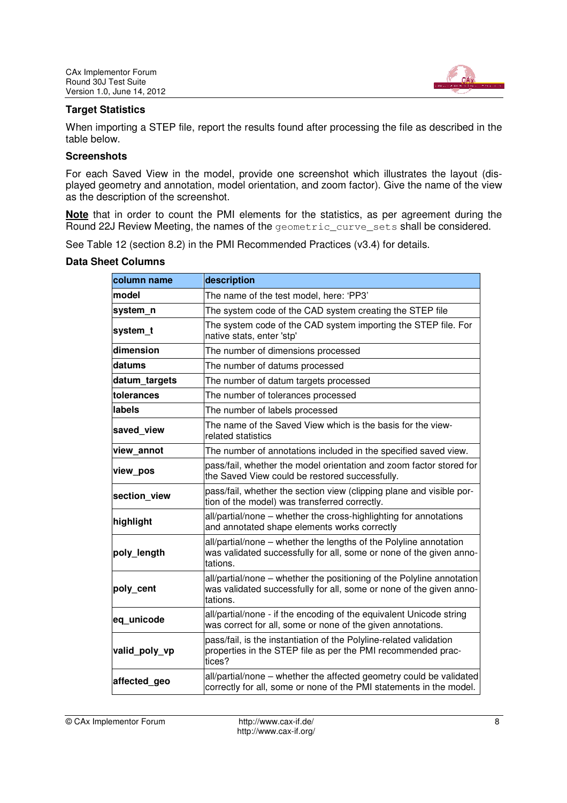

#### **Target Statistics**

When importing a STEP file, report the results found after processing the file as described in the table below.

#### **Screenshots**

For each Saved View in the model, provide one screenshot which illustrates the layout (displayed geometry and annotation, model orientation, and zoom factor). Give the name of the view as the description of the screenshot.

**Note** that in order to count the PMI elements for the statistics, as per agreement during the Round 22J Review Meeting, the names of the geometric\_curve\_sets shall be considered.

See Table 12 (section 8.2) in the PMI Recommended Practices (v3.4) for details.

| column name   | description                                                                                                                                              |
|---------------|----------------------------------------------------------------------------------------------------------------------------------------------------------|
| model         | The name of the test model, here: 'PP3'                                                                                                                  |
| system n      | The system code of the CAD system creating the STEP file                                                                                                 |
| system t      | The system code of the CAD system importing the STEP file. For<br>native stats, enter 'stp'                                                              |
| dimension     | The number of dimensions processed                                                                                                                       |
| datums        | The number of datums processed                                                                                                                           |
| datum_targets | The number of datum targets processed                                                                                                                    |
| tolerances    | The number of tolerances processed                                                                                                                       |
| labels        | The number of labels processed                                                                                                                           |
| saved view    | The name of the Saved View which is the basis for the view-<br>related statistics                                                                        |
| view annot    | The number of annotations included in the specified saved view.                                                                                          |
| view_pos      | pass/fail, whether the model orientation and zoom factor stored for<br>the Saved View could be restored successfully.                                    |
| section_view  | pass/fail, whether the section view (clipping plane and visible por-<br>tion of the model) was transferred correctly.                                    |
| highlight     | all/partial/none – whether the cross-highlighting for annotations<br>and annotated shape elements works correctly                                        |
| poly length   | all/partial/none – whether the lengths of the Polyline annotation<br>was validated successfully for all, some or none of the given anno-<br>tations.     |
| poly_cent     | all/partial/none – whether the positioning of the Polyline annotation<br>was validated successfully for all, some or none of the given anno-<br>tations. |
| eq unicode    | all/partial/none - if the encoding of the equivalent Unicode string<br>was correct for all, some or none of the given annotations.                       |
| valid_poly_vp | pass/fail, is the instantiation of the Polyline-related validation<br>properties in the STEP file as per the PMI recommended prac-<br>tices?             |
| affected_geo  | all/partial/none - whether the affected geometry could be validated<br>correctly for all, some or none of the PMI statements in the model.               |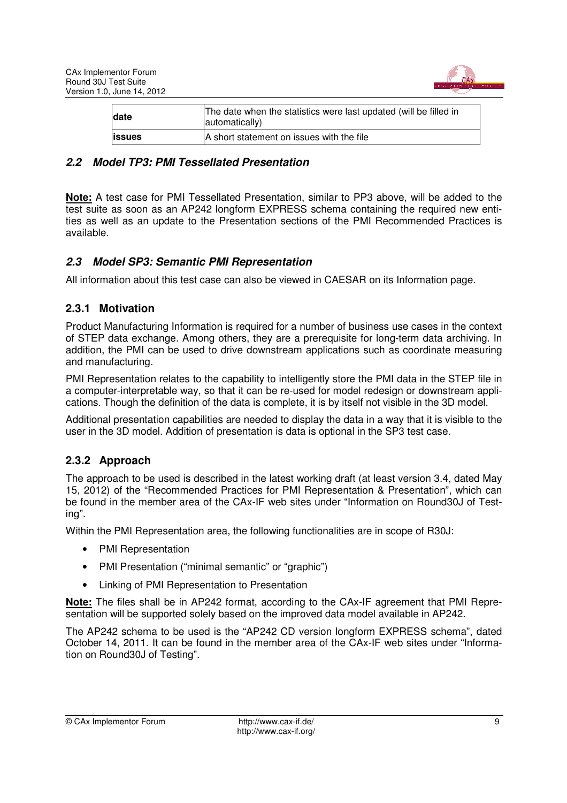

| date          | The date when the statistics were last updated (will be filled in<br>automatically) |  |  |
|---------------|-------------------------------------------------------------------------------------|--|--|
| <b>issues</b> | A short statement on issues with the file                                           |  |  |

## *2.2 Model TP3: PMI Tessellated Presentation*

**Note:** A test case for PMI Tessellated Presentation, similar to PP3 above, will be added to the test suite as soon as an AP242 longform EXPRESS schema containing the required new entities as well as an update to the Presentation sections of the PMI Recommended Practices is available.

#### *2.3 Model SP3: Semantic PMI Representation*

All information about this test case can also be viewed in CAESAR on its Information page.

## **2.3.1 Motivation**

Product Manufacturing Information is required for a number of business use cases in the context of STEP data exchange. Among others, they are a prerequisite for long-term data archiving. In addition, the PMI can be used to drive downstream applications such as coordinate measuring and manufacturing.

PMI Representation relates to the capability to intelligently store the PMI data in the STEP file in a computer-interpretable way, so that it can be re-used for model redesign or downstream applications. Though the definition of the data is complete, it is by itself not visible in the 3D model.

Additional presentation capabilities are needed to display the data in a way that it is visible to the user in the 3D model. Addition of presentation is data is optional in the SP3 test case.

## **2.3.2 Approach**

The approach to be used is described in the latest working draft (at least version 3.4, dated May 15, 2012) of the "Recommended Practices for PMI Representation & Presentation", which can be found in the member area of the CAx-IF web sites under "Information on Round30J of Testing".

Within the PMI Representation area, the following functionalities are in scope of R30J:

- PMI Representation
- PMI Presentation ("minimal semantic" or "graphic")
- Linking of PMI Representation to Presentation

**Note:** The files shall be in AP242 format, according to the CAx-IF agreement that PMI Representation will be supported solely based on the improved data model available in AP242.

The AP242 schema to be used is the "AP242 CD version longform EXPRESS schema", dated October 14, 2011. It can be found in the member area of the CAx-IF web sites under "Information on Round30J of Testing".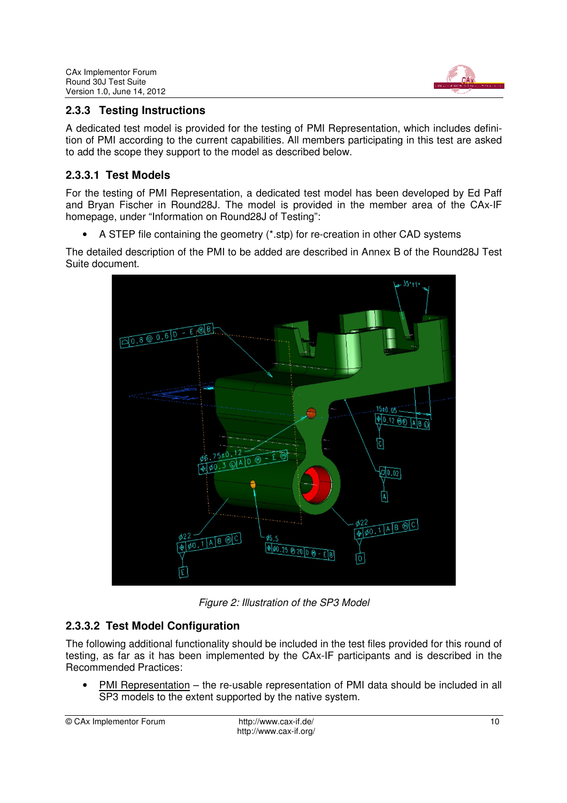

## **2.3.3 Testing Instructions**

A dedicated test model is provided for the testing of PMI Representation, which includes definition of PMI according to the current capabilities. All members participating in this test are asked to add the scope they support to the model as described below.

## **2.3.3.1 Test Models**

For the testing of PMI Representation, a dedicated test model has been developed by Ed Paff and Bryan Fischer in Round28J. The model is provided in the member area of the CAx-IF homepage, under "Information on Round28J of Testing":

• A STEP file containing the geometry (\*.stp) for re-creation in other CAD systems

The detailed description of the PMI to be added are described in Annex B of the Round28J Test Suite document.



Figure 2: Illustration of the SP3 Model

## **2.3.3.2 Test Model Configuration**

The following additional functionality should be included in the test files provided for this round of testing, as far as it has been implemented by the CAx-IF participants and is described in the Recommended Practices:

• PMI Representation – the re-usable representation of PMI data should be included in all SP3 models to the extent supported by the native system.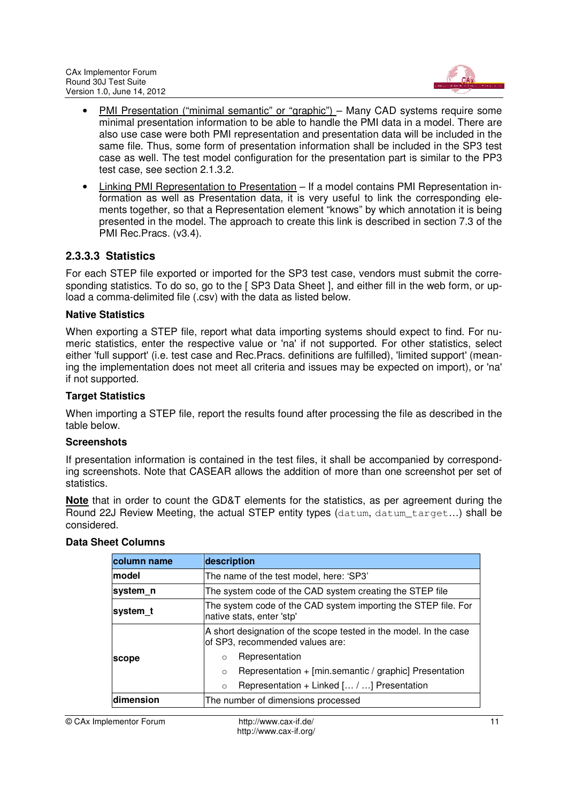

- PMI Presentation ("minimal semantic" or "graphic") Many CAD systems require some minimal presentation information to be able to handle the PMI data in a model. There are also use case were both PMI representation and presentation data will be included in the same file. Thus, some form of presentation information shall be included in the SP3 test case as well. The test model configuration for the presentation part is similar to the PP3 test case, see section 2.1.3.2.
- Linking PMI Representation to Presentation If a model contains PMI Representation information as well as Presentation data, it is very useful to link the corresponding elements together, so that a Representation element "knows" by which annotation it is being presented in the model. The approach to create this link is described in section 7.3 of the PMI Rec.Pracs. (v3.4).

#### **2.3.3.3 Statistics**

For each STEP file exported or imported for the SP3 test case, vendors must submit the corresponding statistics. To do so, go to the [ SP3 Data Sheet ], and either fill in the web form, or upload a comma-delimited file (.csv) with the data as listed below.

#### **Native Statistics**

When exporting a STEP file, report what data importing systems should expect to find. For numeric statistics, enter the respective value or 'na' if not supported. For other statistics, select either 'full support' (i.e. test case and Rec.Pracs. definitions are fulfilled), 'limited support' (meaning the implementation does not meet all criteria and issues may be expected on import), or 'na' if not supported.

#### **Target Statistics**

When importing a STEP file, report the results found after processing the file as described in the table below.

#### **Screenshots**

If presentation information is contained in the test files, it shall be accompanied by corresponding screenshots. Note that CASEAR allows the addition of more than one screenshot per set of statistics.

**Note** that in order to count the GD&T elements for the statistics, as per agreement during the Round 22J Review Meeting, the actual STEP entity types (datum, datum target...) shall be considered.

| column name                                                                                             | description                                                                                          |  |  |
|---------------------------------------------------------------------------------------------------------|------------------------------------------------------------------------------------------------------|--|--|
| <b>Imodel</b>                                                                                           | The name of the test model, here: 'SP3'                                                              |  |  |
| system n                                                                                                | The system code of the CAD system creating the STEP file                                             |  |  |
| The system code of the CAD system importing the STEP file. For<br>system t<br>native stats, enter 'stp' |                                                                                                      |  |  |
|                                                                                                         | A short designation of the scope tested in the model. In the case<br>of SP3, recommended values are: |  |  |
| scope                                                                                                   | Representation<br>$\Omega$                                                                           |  |  |
|                                                                                                         | Representation + [min.semantic / graphic] Presentation<br>$\circ$                                    |  |  |
|                                                                                                         | Representation + Linked [ / ] Presentation<br>$\circ$                                                |  |  |
| ldimension                                                                                              | The number of dimensions processed                                                                   |  |  |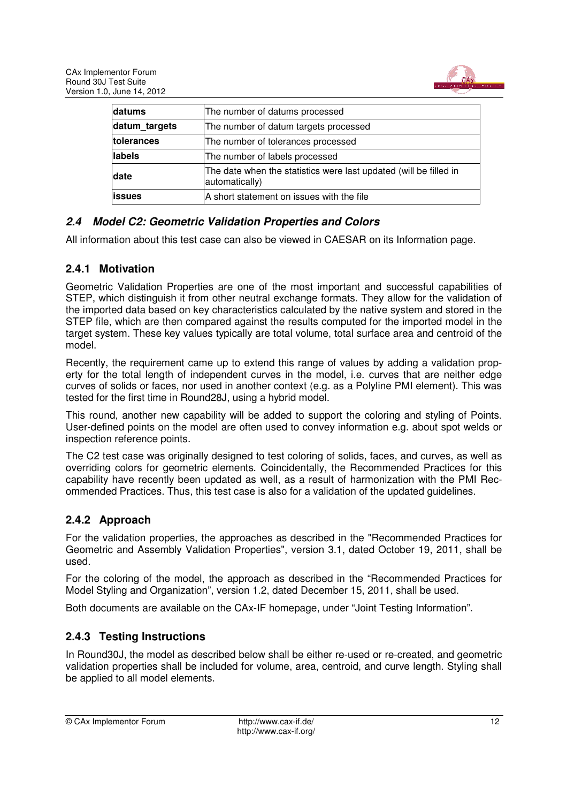

| datums             | The number of datums processed                                                      |
|--------------------|-------------------------------------------------------------------------------------|
| datum targets      | The number of datum targets processed                                               |
| <b>Itolerances</b> | The number of tolerances processed                                                  |
| labels             | The number of labels processed                                                      |
| date               | The date when the statistics were last updated (will be filled in<br>automatically) |
| lissues            | A short statement on issues with the file                                           |

## *2.4 Model C2: Geometric Validation Properties and Colors*

All information about this test case can also be viewed in CAESAR on its Information page.

## **2.4.1 Motivation**

Geometric Validation Properties are one of the most important and successful capabilities of STEP, which distinguish it from other neutral exchange formats. They allow for the validation of the imported data based on key characteristics calculated by the native system and stored in the STEP file, which are then compared against the results computed for the imported model in the target system. These key values typically are total volume, total surface area and centroid of the model.

Recently, the requirement came up to extend this range of values by adding a validation property for the total length of independent curves in the model, i.e. curves that are neither edge curves of solids or faces, nor used in another context (e.g. as a Polyline PMI element). This was tested for the first time in Round28J, using a hybrid model.

This round, another new capability will be added to support the coloring and styling of Points. User-defined points on the model are often used to convey information e.g. about spot welds or inspection reference points.

The C2 test case was originally designed to test coloring of solids, faces, and curves, as well as overriding colors for geometric elements. Coincidentally, the Recommended Practices for this capability have recently been updated as well, as a result of harmonization with the PMI Recommended Practices. Thus, this test case is also for a validation of the updated guidelines.

#### **2.4.2 Approach**

For the validation properties, the approaches as described in the "Recommended Practices for Geometric and Assembly Validation Properties", version 3.1, dated October 19, 2011, shall be used.

For the coloring of the model, the approach as described in the "Recommended Practices for Model Styling and Organization", version 1.2, dated December 15, 2011, shall be used.

Both documents are available on the CAx-IF homepage, under "Joint Testing Information".

## **2.4.3 Testing Instructions**

In Round30J, the model as described below shall be either re-used or re-created, and geometric validation properties shall be included for volume, area, centroid, and curve length. Styling shall be applied to all model elements.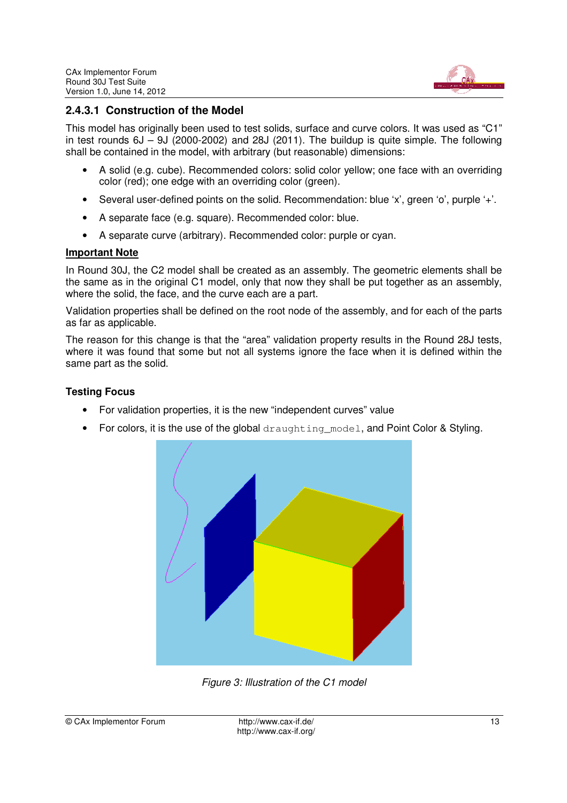

## **2.4.3.1 Construction of the Model**

This model has originally been used to test solids, surface and curve colors. It was used as "C1" in test rounds  $6J - 9J$  (2000-2002) and 28J (2011). The buildup is quite simple. The following shall be contained in the model, with arbitrary (but reasonable) dimensions:

- A solid (e.g. cube). Recommended colors: solid color yellow; one face with an overriding color (red); one edge with an overriding color (green).
- Several user-defined points on the solid. Recommendation: blue 'x', green 'o', purple '+'.
- A separate face (e.g. square). Recommended color: blue.
- A separate curve (arbitrary). Recommended color: purple or cyan.

#### **Important Note**

In Round 30J, the C2 model shall be created as an assembly. The geometric elements shall be the same as in the original C1 model, only that now they shall be put together as an assembly, where the solid, the face, and the curve each are a part.

Validation properties shall be defined on the root node of the assembly, and for each of the parts as far as applicable.

The reason for this change is that the "area" validation property results in the Round 28J tests, where it was found that some but not all systems ignore the face when it is defined within the same part as the solid.

#### **Testing Focus**

- For validation properties, it is the new "independent curves" value
- For colors, it is the use of the global draughting\_model, and Point Color & Styling.



Figure 3: Illustration of the C1 model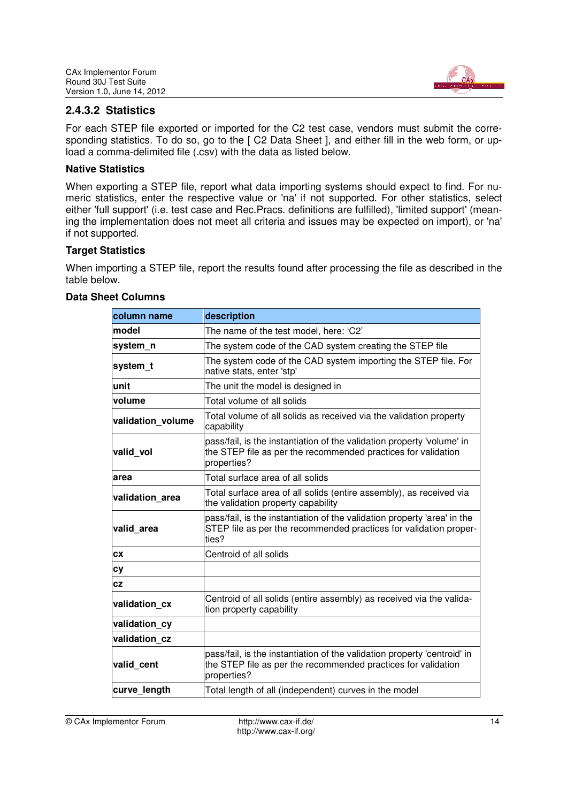

## **2.4.3.2 Statistics**

For each STEP file exported or imported for the C2 test case, vendors must submit the corresponding statistics. To do so, go to the [ C2 Data Sheet ], and either fill in the web form, or upload a comma-delimited file (.csv) with the data as listed below.

#### **Native Statistics**

When exporting a STEP file, report what data importing systems should expect to find. For numeric statistics, enter the respective value or 'na' if not supported. For other statistics, select either 'full support' (i.e. test case and Rec.Pracs. definitions are fulfilled), 'limited support' (meaning the implementation does not meet all criteria and issues may be expected on import), or 'na' if not supported.

#### **Target Statistics**

When importing a STEP file, report the results found after processing the file as described in the table below.

| column name       | description                                                                                                                                              |  |  |  |
|-------------------|----------------------------------------------------------------------------------------------------------------------------------------------------------|--|--|--|
| model             | The name of the test model, here: 'C2'                                                                                                                   |  |  |  |
| system n          | The system code of the CAD system creating the STEP file                                                                                                 |  |  |  |
| system t          | The system code of the CAD system importing the STEP file. For<br>native stats, enter 'stp'                                                              |  |  |  |
| unit              | The unit the model is designed in                                                                                                                        |  |  |  |
| volume            | Total volume of all solids                                                                                                                               |  |  |  |
| validation volume | Total volume of all solids as received via the validation property<br>capability                                                                         |  |  |  |
| valid vol         | pass/fail, is the instantiation of the validation property 'volume' in<br>the STEP file as per the recommended practices for validation<br>properties?   |  |  |  |
| area              | Total surface area of all solids                                                                                                                         |  |  |  |
| validation area   | Total surface area of all solids (entire assembly), as received via<br>the validation property capability                                                |  |  |  |
| valid area        | pass/fail, is the instantiation of the validation property 'area' in the<br>STEP file as per the recommended practices for validation proper-<br>ties?   |  |  |  |
| CX                | Centroid of all solids                                                                                                                                   |  |  |  |
| сy                |                                                                                                                                                          |  |  |  |
| CZ                |                                                                                                                                                          |  |  |  |
| validation cx     | Centroid of all solids (entire assembly) as received via the valida-<br>tion property capability                                                         |  |  |  |
| validation cy     |                                                                                                                                                          |  |  |  |
| validation cz     |                                                                                                                                                          |  |  |  |
| valid_cent        | pass/fail, is the instantiation of the validation property 'centroid' in<br>the STEP file as per the recommended practices for validation<br>properties? |  |  |  |
| curve length      | Total length of all (independent) curves in the model                                                                                                    |  |  |  |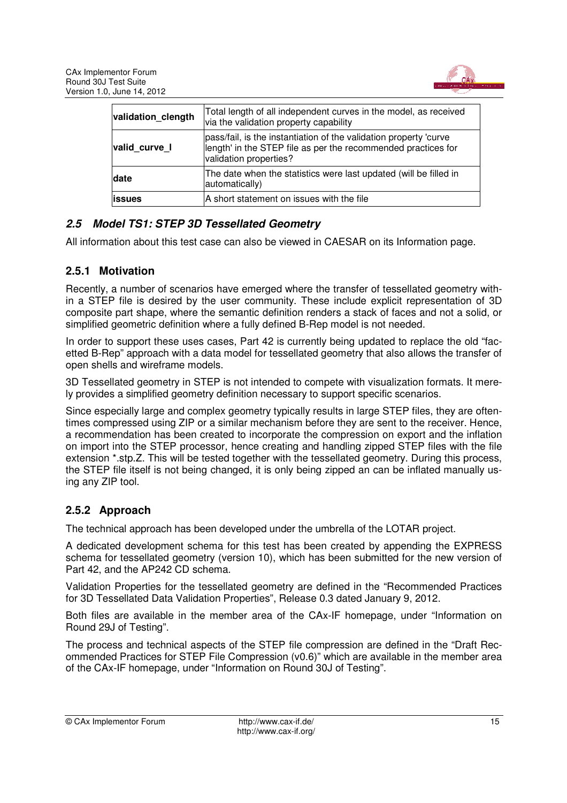

| validation clength | Total length of all independent curves in the model, as received<br>via the validation property capability                                                   |
|--------------------|--------------------------------------------------------------------------------------------------------------------------------------------------------------|
| valid curve I      | pass/fail, is the instantiation of the validation property 'curve<br>length' in the STEP file as per the recommended practices for<br>validation properties? |
| date               | The date when the statistics were last updated (will be filled in<br>automatically)                                                                          |
| <b>issues</b>      | A short statement on issues with the file                                                                                                                    |

## *2.5 Model TS1: STEP 3D Tessellated Geometry*

All information about this test case can also be viewed in CAESAR on its Information page.

#### **2.5.1 Motivation**

Recently, a number of scenarios have emerged where the transfer of tessellated geometry within a STEP file is desired by the user community. These include explicit representation of 3D composite part shape, where the semantic definition renders a stack of faces and not a solid, or simplified geometric definition where a fully defined B-Rep model is not needed.

In order to support these uses cases, Part 42 is currently being updated to replace the old "facetted B-Rep" approach with a data model for tessellated geometry that also allows the transfer of open shells and wireframe models.

3D Tessellated geometry in STEP is not intended to compete with visualization formats. It merely provides a simplified geometry definition necessary to support specific scenarios.

Since especially large and complex geometry typically results in large STEP files, they are oftentimes compressed using ZIP or a similar mechanism before they are sent to the receiver. Hence, a recommendation has been created to incorporate the compression on export and the inflation on import into the STEP processor, hence creating and handling zipped STEP files with the file extension \*.stp.Z. This will be tested together with the tessellated geometry. During this process, the STEP file itself is not being changed, it is only being zipped an can be inflated manually using any ZIP tool.

#### **2.5.2 Approach**

The technical approach has been developed under the umbrella of the LOTAR project.

A dedicated development schema for this test has been created by appending the EXPRESS schema for tessellated geometry (version 10), which has been submitted for the new version of Part 42, and the AP242 CD schema.

Validation Properties for the tessellated geometry are defined in the "Recommended Practices for 3D Tessellated Data Validation Properties", Release 0.3 dated January 9, 2012.

Both files are available in the member area of the CAx-IF homepage, under "Information on Round 29J of Testing".

The process and technical aspects of the STEP file compression are defined in the "Draft Recommended Practices for STEP File Compression (v0.6)" which are available in the member area of the CAx-IF homepage, under "Information on Round 30J of Testing".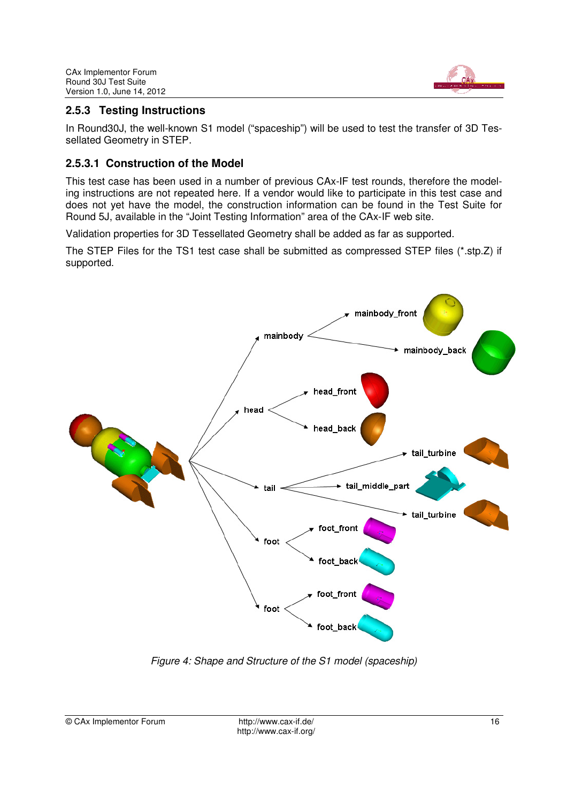

## **2.5.3 Testing Instructions**

In Round30J, the well-known S1 model ("spaceship") will be used to test the transfer of 3D Tessellated Geometry in STEP.

#### **2.5.3.1 Construction of the Model**

This test case has been used in a number of previous CAx-IF test rounds, therefore the modeling instructions are not repeated here. If a vendor would like to participate in this test case and does not yet have the model, the construction information can be found in the Test Suite for Round 5J, available in the "Joint Testing Information" area of the CAx-IF web site.

Validation properties for 3D Tessellated Geometry shall be added as far as supported.

The STEP Files for the TS1 test case shall be submitted as compressed STEP files (\*.stp.Z) if supported.



Figure 4: Shape and Structure of the S1 model (spaceship)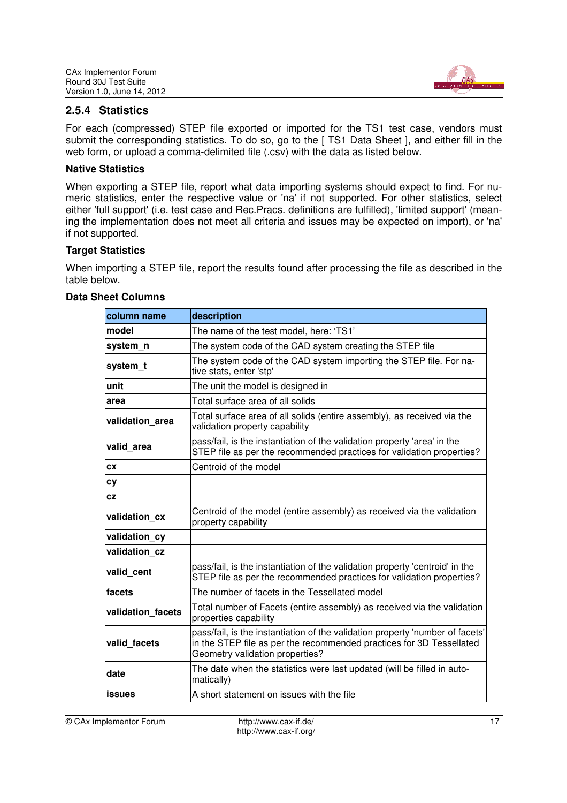

#### **2.5.4 Statistics**

For each (compressed) STEP file exported or imported for the TS1 test case, vendors must submit the corresponding statistics. To do so, go to the [ TS1 Data Sheet ], and either fill in the web form, or upload a comma-delimited file (.csv) with the data as listed below.

#### **Native Statistics**

When exporting a STEP file, report what data importing systems should expect to find. For numeric statistics, enter the respective value or 'na' if not supported. For other statistics, select either 'full support' (i.e. test case and Rec.Pracs. definitions are fulfilled), 'limited support' (meaning the implementation does not meet all criteria and issues may be expected on import), or 'na' if not supported.

#### **Target Statistics**

When importing a STEP file, report the results found after processing the file as described in the table below.

| column name       | description                                                                                                                                                                              |
|-------------------|------------------------------------------------------------------------------------------------------------------------------------------------------------------------------------------|
| model             | The name of the test model, here: 'TS1'                                                                                                                                                  |
| system n          | The system code of the CAD system creating the STEP file                                                                                                                                 |
| system_t          | The system code of the CAD system importing the STEP file. For na-<br>tive stats, enter 'stp'                                                                                            |
| unit              | The unit the model is designed in                                                                                                                                                        |
| area              | Total surface area of all solids                                                                                                                                                         |
| validation area   | Total surface area of all solids (entire assembly), as received via the<br>validation property capability                                                                                |
| valid area        | pass/fail, is the instantiation of the validation property 'area' in the<br>STEP file as per the recommended practices for validation properties?                                        |
| CX                | Centroid of the model                                                                                                                                                                    |
| сy                |                                                                                                                                                                                          |
| CZ                |                                                                                                                                                                                          |
| validation cx     | Centroid of the model (entire assembly) as received via the validation<br>property capability                                                                                            |
| validation_cy     |                                                                                                                                                                                          |
| validation cz     |                                                                                                                                                                                          |
| valid cent        | pass/fail, is the instantiation of the validation property 'centroid' in the<br>STEP file as per the recommended practices for validation properties?                                    |
| facets            | The number of facets in the Tessellated model                                                                                                                                            |
| validation facets | Total number of Facets (entire assembly) as received via the validation<br>properties capability                                                                                         |
| valid facets      | pass/fail, is the instantiation of the validation property 'number of facets'<br>in the STEP file as per the recommended practices for 3D Tessellated<br>Geometry validation properties? |
| date              | The date when the statistics were last updated (will be filled in auto-<br>matically)                                                                                                    |
| <b>issues</b>     | A short statement on issues with the file                                                                                                                                                |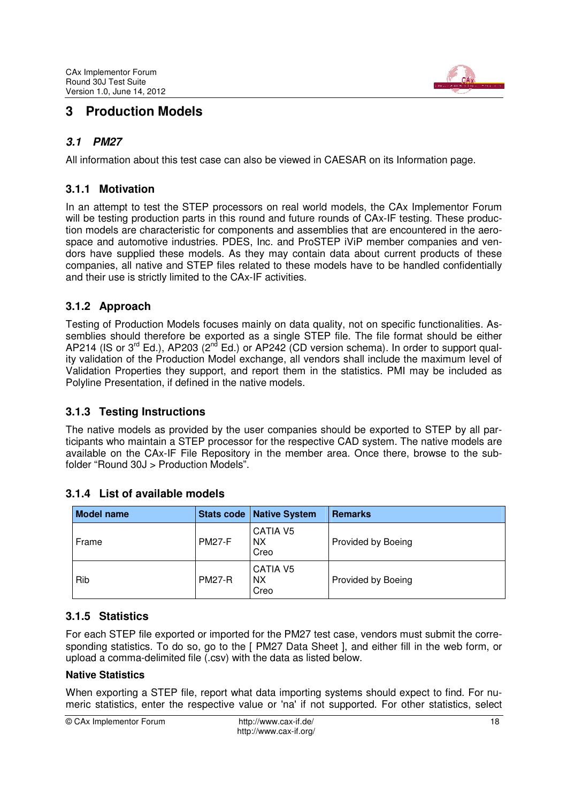

## **3 Production Models**

## *3.1 PM27*

All information about this test case can also be viewed in CAESAR on its Information page.

## **3.1.1 Motivation**

In an attempt to test the STEP processors on real world models, the CAx Implementor Forum will be testing production parts in this round and future rounds of CAx-IF testing. These production models are characteristic for components and assemblies that are encountered in the aerospace and automotive industries. PDES, Inc. and ProSTEP iViP member companies and vendors have supplied these models. As they may contain data about current products of these companies, all native and STEP files related to these models have to be handled confidentially and their use is strictly limited to the CAx-IF activities.

## **3.1.2 Approach**

Testing of Production Models focuses mainly on data quality, not on specific functionalities. Assemblies should therefore be exported as a single STEP file. The file format should be either AP214 (IS or  $3<sup>rd</sup>$  Ed.), AP203 ( $2<sup>nd</sup>$  Ed.) or AP242 (CD version schema). In order to support quality validation of the Production Model exchange, all vendors shall include the maximum level of Validation Properties they support, and report them in the statistics. PMI may be included as Polyline Presentation, if defined in the native models.

#### **3.1.3 Testing Instructions**

The native models as provided by the user companies should be exported to STEP by all participants who maintain a STEP processor for the respective CAD system. The native models are available on the CAx-IF File Repository in the member area. Once there, browse to the subfolder "Round 30J > Production Models".

| <b>Model name</b> |               | Stats code   Native System           | <b>Remarks</b>     |
|-------------------|---------------|--------------------------------------|--------------------|
| Frame             | <b>PM27-F</b> | <b>CATIA V5</b><br><b>NX</b><br>Creo | Provided by Boeing |
| Rib               | <b>PM27-R</b> | CATIA V5<br><b>NX</b><br>Creo        | Provided by Boeing |

#### **3.1.4 List of available models**

## **3.1.5 Statistics**

For each STEP file exported or imported for the PM27 test case, vendors must submit the corresponding statistics. To do so, go to the [ PM27 Data Sheet ], and either fill in the web form, or upload a comma-delimited file (.csv) with the data as listed below.

#### **Native Statistics**

When exporting a STEP file, report what data importing systems should expect to find. For numeric statistics, enter the respective value or 'na' if not supported. For other statistics, select